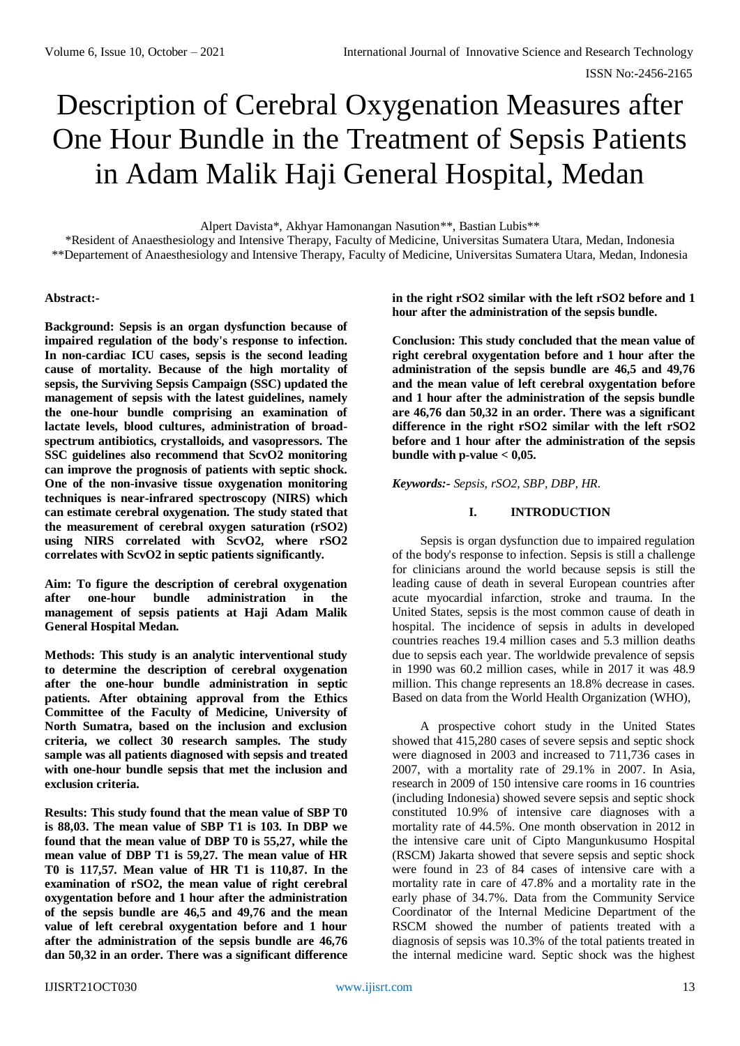# Description of Cerebral Oxygenation Measures after One Hour Bundle in the Treatment of Sepsis Patients in Adam Malik Haji General Hospital, Medan

Alpert Davista\*, Akhyar Hamonangan Nasution\*\*, Bastian Lubis\*\*

\*Resident of Anaesthesiology and Intensive Therapy, Faculty of Medicine, Universitas Sumatera Utara, Medan, Indonesia \*\*Departement of Anaesthesiology and Intensive Therapy, Faculty of Medicine, Universitas Sumatera Utara, Medan, Indonesia

#### **Abstract:-**

**Background: Sepsis is an organ dysfunction because of impaired regulation of the body's response to infection. In non-cardiac ICU cases, sepsis is the second leading cause of mortality. Because of the high mortality of sepsis, the Surviving Sepsis Campaign (SSC) updated the management of sepsis with the latest guidelines, namely the one-hour bundle comprising an examination of lactate levels, blood cultures, administration of broadspectrum antibiotics, crystalloids, and vasopressors. The SSC guidelines also recommend that ScvO2 monitoring can improve the prognosis of patients with septic shock. One of the non-invasive tissue oxygenation monitoring techniques is near-infrared spectroscopy (NIRS) which can estimate cerebral oxygenation. The study stated that the measurement of cerebral oxygen saturation (rSO2) using NIRS correlated with ScvO2, where rSO2 correlates with ScvO2 in septic patients significantly.**

**Aim: To figure the description of cerebral oxygenation after one-hour bundle administration in the management of sepsis patients at Haji Adam Malik General Hospital Medan.**

**Methods: This study is an analytic interventional study to determine the description of cerebral oxygenation after the one-hour bundle administration in septic patients. After obtaining approval from the Ethics Committee of the Faculty of Medicine, University of North Sumatra, based on the inclusion and exclusion criteria, we collect 30 research samples. The study sample was all patients diagnosed with sepsis and treated with one-hour bundle sepsis that met the inclusion and exclusion criteria.**

**Results: This study found that the mean value of SBP T0 is 88,03. The mean value of SBP T1 is 103. In DBP we found that the mean value of DBP T0 is 55,27, while the mean value of DBP T1 is 59,27. The mean value of HR T0 is 117,57. Mean value of HR T1 is 110,87. In the examination of rSO2, the mean value of right cerebral oxygentation before and 1 hour after the administration of the sepsis bundle are 46,5 and 49,76 and the mean value of left cerebral oxygentation before and 1 hour after the administration of the sepsis bundle are 46,76 dan 50,32 in an order. There was a significant difference** 

**in the right rSO2 similar with the left rSO2 before and 1 hour after the administration of the sepsis bundle.**

**Conclusion: This study concluded that the mean value of right cerebral oxygentation before and 1 hour after the administration of the sepsis bundle are 46,5 and 49,76 and the mean value of left cerebral oxygentation before and 1 hour after the administration of the sepsis bundle are 46,76 dan 50,32 in an order. There was a significant difference in the right rSO2 similar with the left rSO2 before and 1 hour after the administration of the sepsis bundle** with  $p$ -value  $< 0.05$ .

*Keywords:- Sepsis, rSO2, SBP, DBP, HR.*

# **I. INTRODUCTION**

Sepsis is organ dysfunction due to impaired regulation of the body's response to infection. Sepsis is still a challenge for clinicians around the world because sepsis is still the leading cause of death in several European countries after acute myocardial infarction, stroke and trauma. In the United States, sepsis is the most common cause of death in hospital. The incidence of sepsis in adults in developed countries reaches 19.4 million cases and 5.3 million deaths due to sepsis each year. The worldwide prevalence of sepsis in 1990 was 60.2 million cases, while in 2017 it was 48.9 million. This change represents an 18.8% decrease in cases. Based on data from the World Health Organization (WHO),

A prospective cohort study in the United States showed that 415,280 cases of severe sepsis and septic shock were diagnosed in 2003 and increased to 711,736 cases in 2007, with a mortality rate of 29.1% in 2007. In Asia, research in 2009 of 150 intensive care rooms in 16 countries (including Indonesia) showed severe sepsis and septic shock constituted 10.9% of intensive care diagnoses with a mortality rate of 44.5%. One month observation in 2012 in the intensive care unit of Cipto Mangunkusumo Hospital (RSCM) Jakarta showed that severe sepsis and septic shock were found in 23 of 84 cases of intensive care with a mortality rate in care of 47.8% and a mortality rate in the early phase of 34.7%. Data from the Community Service Coordinator of the Internal Medicine Department of the RSCM showed the number of patients treated with a diagnosis of sepsis was 10.3% of the total patients treated in the internal medicine ward. Septic shock was the highest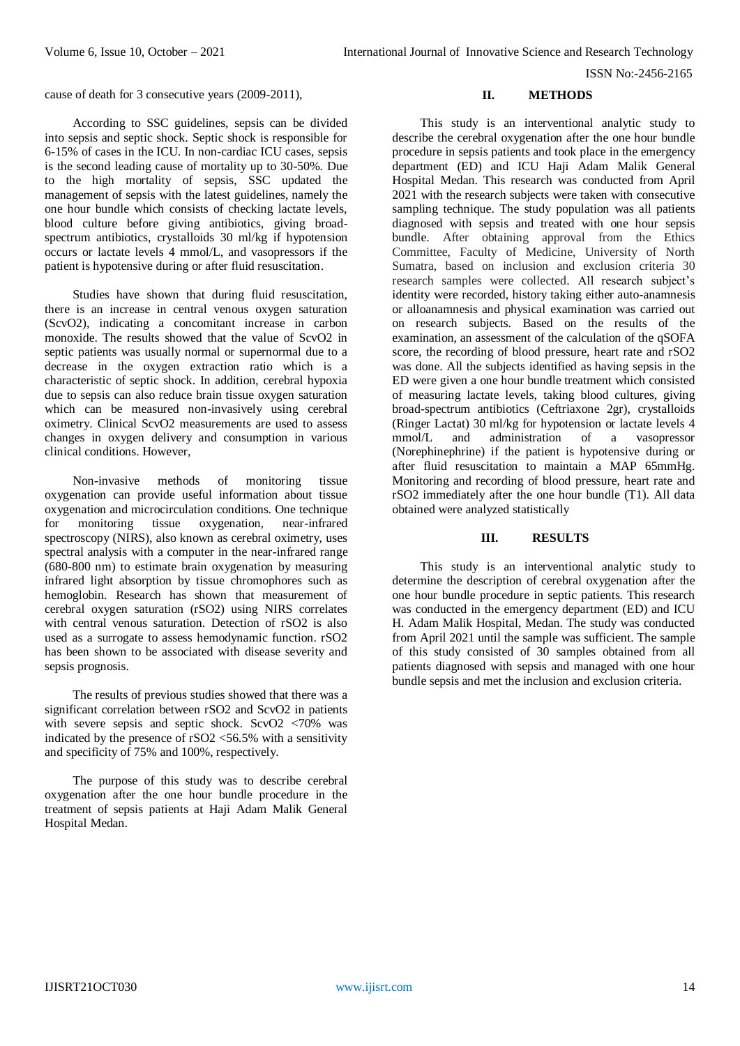ISSN No:-2456-2165

cause of death for 3 consecutive years (2009-2011),

According to SSC guidelines, sepsis can be divided into sepsis and septic shock. Septic shock is responsible for 6-15% of cases in the ICU. In non-cardiac ICU cases, sepsis is the second leading cause of mortality up to 30-50%. Due to the high mortality of sepsis, SSC updated the management of sepsis with the latest guidelines, namely the one hour bundle which consists of checking lactate levels, blood culture before giving antibiotics, giving broadspectrum antibiotics, crystalloids 30 ml/kg if hypotension occurs or lactate levels 4 mmol/L, and vasopressors if the patient is hypotensive during or after fluid resuscitation.

Studies have shown that during fluid resuscitation, there is an increase in central venous oxygen saturation (ScvO2), indicating a concomitant increase in carbon monoxide. The results showed that the value of ScvO2 in septic patients was usually normal or supernormal due to a decrease in the oxygen extraction ratio which is a characteristic of septic shock. In addition, cerebral hypoxia due to sepsis can also reduce brain tissue oxygen saturation which can be measured non-invasively using cerebral oximetry. Clinical ScvO2 measurements are used to assess changes in oxygen delivery and consumption in various clinical conditions. However,

Non-invasive methods of monitoring tissue oxygenation can provide useful information about tissue oxygenation and microcirculation conditions. One technique for monitoring tissue oxygenation, near-infrared spectroscopy (NIRS), also known as cerebral oximetry, uses spectral analysis with a computer in the near-infrared range (680-800 nm) to estimate brain oxygenation by measuring infrared light absorption by tissue chromophores such as hemoglobin. Research has shown that measurement of cerebral oxygen saturation (rSO2) using NIRS correlates with central venous saturation. Detection of rSO2 is also used as a surrogate to assess hemodynamic function. rSO2 has been shown to be associated with disease severity and sepsis prognosis.

The results of previous studies showed that there was a significant correlation between rSO2 and ScvO2 in patients with severe sepsis and septic shock. ScvO2  $\langle 70\%$  was indicated by the presence of rSO2 <56.5% with a sensitivity and specificity of 75% and 100%, respectively.

The purpose of this study was to describe cerebral oxygenation after the one hour bundle procedure in the treatment of sepsis patients at Haji Adam Malik General Hospital Medan.

#### **II. METHODS**

This study is an interventional analytic study to describe the cerebral oxygenation after the one hour bundle procedure in sepsis patients and took place in the emergency department (ED) and ICU Haji Adam Malik General Hospital Medan. This research was conducted from April 2021 with the research subjects were taken with consecutive sampling technique. The study population was all patients diagnosed with sepsis and treated with one hour sepsis bundle. After obtaining approval from the Ethics Committee, Faculty of Medicine, University of North Sumatra, based on inclusion and exclusion criteria 30 research samples were collected. All research subject's identity were recorded, history taking either auto-anamnesis or alloanamnesis and physical examination was carried out on research subjects. Based on the results of the examination, an assessment of the calculation of the qSOFA score, the recording of blood pressure, heart rate and rSO2 was done. All the subjects identified as having sepsis in the ED were given a one hour bundle treatment which consisted of measuring lactate levels, taking blood cultures, giving broad-spectrum antibiotics (Ceftriaxone 2gr), crystalloids (Ringer Lactat) 30 ml/kg for hypotension or lactate levels 4 mmol/L and administration of a vasopressor (Norephinephrine) if the patient is hypotensive during or after fluid resuscitation to maintain a MAP 65mmHg. Monitoring and recording of blood pressure, heart rate and rSO2 immediately after the one hour bundle (T1). All data obtained were analyzed statistically

# **III. RESULTS**

This study is an interventional analytic study to determine the description of cerebral oxygenation after the one hour bundle procedure in septic patients. This research was conducted in the emergency department (ED) and ICU H. Adam Malik Hospital, Medan. The study was conducted from April 2021 until the sample was sufficient. The sample of this study consisted of 30 samples obtained from all patients diagnosed with sepsis and managed with one hour bundle sepsis and met the inclusion and exclusion criteria.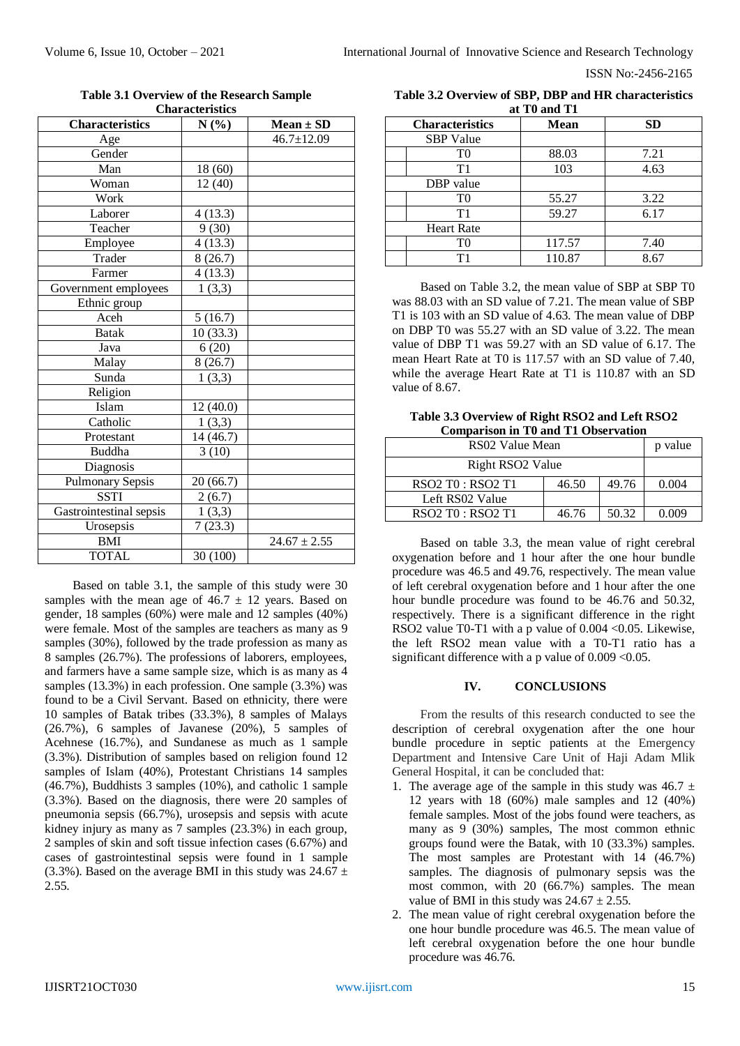| Unai acteristics |                                           |  |  |  |  |  |  |  |
|------------------|-------------------------------------------|--|--|--|--|--|--|--|
| N(%)             | $Mean \pm SD$                             |  |  |  |  |  |  |  |
|                  | $46.7 \pm 12.09$                          |  |  |  |  |  |  |  |
|                  |                                           |  |  |  |  |  |  |  |
| 18 (60)          |                                           |  |  |  |  |  |  |  |
| 12(40)           |                                           |  |  |  |  |  |  |  |
|                  |                                           |  |  |  |  |  |  |  |
|                  |                                           |  |  |  |  |  |  |  |
| 9(30)            |                                           |  |  |  |  |  |  |  |
| 4(13.3)          |                                           |  |  |  |  |  |  |  |
| 8(26.7)          |                                           |  |  |  |  |  |  |  |
|                  |                                           |  |  |  |  |  |  |  |
| 1(3,3)           |                                           |  |  |  |  |  |  |  |
|                  |                                           |  |  |  |  |  |  |  |
| 5(16.7)          |                                           |  |  |  |  |  |  |  |
| 10(33.3)         |                                           |  |  |  |  |  |  |  |
| 6(20)            |                                           |  |  |  |  |  |  |  |
|                  |                                           |  |  |  |  |  |  |  |
| 1(3,3)           |                                           |  |  |  |  |  |  |  |
|                  |                                           |  |  |  |  |  |  |  |
| 12(40.0)         |                                           |  |  |  |  |  |  |  |
| 1(3,3)           |                                           |  |  |  |  |  |  |  |
|                  |                                           |  |  |  |  |  |  |  |
| 3(10)            |                                           |  |  |  |  |  |  |  |
|                  |                                           |  |  |  |  |  |  |  |
| 20(66.7)         |                                           |  |  |  |  |  |  |  |
| 2(6.7)           |                                           |  |  |  |  |  |  |  |
| 1(3,3)           |                                           |  |  |  |  |  |  |  |
| 7(23.3)          |                                           |  |  |  |  |  |  |  |
|                  | $24.67 \pm 2.55$                          |  |  |  |  |  |  |  |
| 30 (100)         |                                           |  |  |  |  |  |  |  |
|                  | 4(13.3)<br>4(13.3)<br>8(26.7)<br>14(46.7) |  |  |  |  |  |  |  |

**Table 3.1 Overview of the Research Sample Characteristics**

Based on table 3.1, the sample of this study were 30 samples with the mean age of  $46.7 \pm 12$  years. Based on gender, 18 samples (60%) were male and 12 samples (40%) were female. Most of the samples are teachers as many as 9 samples (30%), followed by the trade profession as many as 8 samples (26.7%). The professions of laborers, employees, and farmers have a same sample size, which is as many as 4 samples (13.3%) in each profession. One sample (3.3%) was found to be a Civil Servant. Based on ethnicity, there were 10 samples of Batak tribes (33.3%), 8 samples of Malays (26.7%), 6 samples of Javanese (20%), 5 samples of Acehnese (16.7%), and Sundanese as much as 1 sample (3.3%). Distribution of samples based on religion found 12 samples of Islam (40%), Protestant Christians 14 samples (46.7%), Buddhists 3 samples (10%), and catholic 1 sample (3.3%). Based on the diagnosis, there were 20 samples of pneumonia sepsis (66.7%), urosepsis and sepsis with acute kidney injury as many as 7 samples (23.3%) in each group, 2 samples of skin and soft tissue infection cases (6.67%) and cases of gastrointestinal sepsis were found in 1 sample (3.3%). Based on the average BMI in this study was  $24.67 \pm$ 2.55.

| Table 3.2 Overview of SBP, DBP and HR characteristics |  |  |  |  |
|-------------------------------------------------------|--|--|--|--|
| at T <sub>0</sub> and T <sub>1</sub>                  |  |  |  |  |

| <b>Characteristics</b> | <b>Mean</b> | <b>SD</b> |
|------------------------|-------------|-----------|
| <b>SBP</b> Value       |             |           |
| T0                     | 88.03       | 7.21      |
| T1                     | 103         | 4.63      |
| DBP value              |             |           |
| T0                     | 55.27       | 3.22      |
| T1                     | 59.27       | 6.17      |
| <b>Heart Rate</b>      |             |           |
| T0                     | 117.57      | 7.40      |
| $\mathbf{T}1$          | 110.87      | 8.67      |

Based on Table 3.2, the mean value of SBP at SBP T0 was 88.03 with an SD value of 7.21. The mean value of SBP T1 is 103 with an SD value of 4.63. The mean value of DBP on DBP T0 was 55.27 with an SD value of 3.22. The mean value of DBP T1 was 59.27 with an SD value of 6.17. The mean Heart Rate at T0 is 117.57 with an SD value of 7.40, while the average Heart Rate at T1 is 110.87 with an SD value of 8.67.

**Table 3.3 Overview of Right RSO2 and Left RSO2 Comparison in T0 and T1 Observation**

| RS02 Value Mean                                                   | p value |       |       |
|-------------------------------------------------------------------|---------|-------|-------|
| Right RSO <sub>2</sub> Value                                      |         |       |       |
| RSO <sub>2</sub> T <sub>0</sub> : RSO <sub>2</sub> T <sub>1</sub> | 46.50   | 49.76 | 0.004 |
| Left RS02 Value                                                   |         |       |       |
| RSO2 T0 : RSO2 T1                                                 | 46.76   | 50.32 | 0.009 |

Based on table 3.3, the mean value of right cerebral oxygenation before and 1 hour after the one hour bundle procedure was 46.5 and 49.76, respectively. The mean value of left cerebral oxygenation before and 1 hour after the one hour bundle procedure was found to be 46.76 and 50.32, respectively. There is a significant difference in the right RSO2 value T0-T1 with a p value of 0.004 <0.05. Likewise, the left RSO2 mean value with a T0-T1 ratio has a significant difference with a p value of  $0.009 < 0.05$ .

## **IV. CONCLUSIONS**

From the results of this research conducted to see the description of cerebral oxygenation after the one hour bundle procedure in septic patients at the Emergency Department and Intensive Care Unit of Haji Adam Mlik General Hospital, it can be concluded that:

- 1. The average age of the sample in this study was  $46.7 \pm$ 12 years with 18 (60%) male samples and 12 (40%) female samples. Most of the jobs found were teachers, as many as 9 (30%) samples, The most common ethnic groups found were the Batak, with 10 (33.3%) samples. The most samples are Protestant with 14 (46.7%) samples. The diagnosis of pulmonary sepsis was the most common, with 20 (66.7%) samples. The mean value of BMI in this study was  $24.67 \pm 2.55$ .
- 2. The mean value of right cerebral oxygenation before the one hour bundle procedure was 46.5. The mean value of left cerebral oxygenation before the one hour bundle procedure was 46.76.